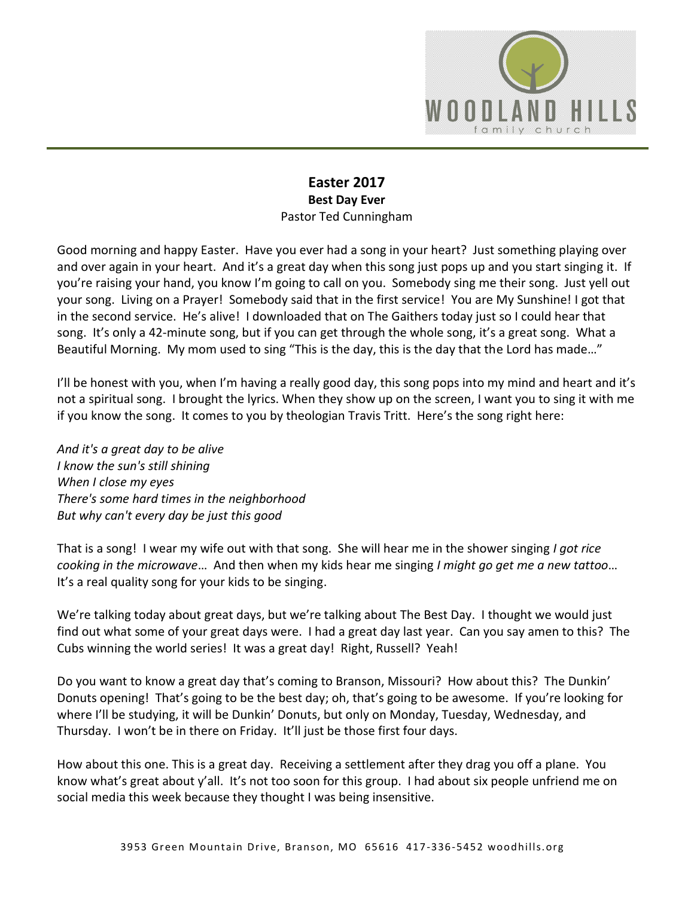

## **Easter 2017 Best Day Ever**  Pastor Ted Cunningham

Good morning and happy Easter. Have you ever had a song in your heart? Just something playing over and over again in your heart. And it's a great day when this song just pops up and you start singing it. If you're raising your hand, you know I'm going to call on you. Somebody sing me their song. Just yell out your song. Living on a Prayer! Somebody said that in the first service! You are My Sunshine! I got that in the second service. He's alive! I downloaded that on The Gaithers today just so I could hear that song. It's only a 42-minute song, but if you can get through the whole song, it's a great song. What a Beautiful Morning. My mom used to sing "This is the day, this is the day that the Lord has made…"

I'll be honest with you, when I'm having a really good day, this song pops into my mind and heart and it's not a spiritual song. I brought the lyrics. When they show up on the screen, I want you to sing it with me if you know the song. It comes to you by theologian Travis Tritt. Here's the song right here:

*And it's a great day to be alive I know the sun's still shining When I close my eyes There's some hard times in the neighborhood But why can't every day be just this good*

That is a song! I wear my wife out with that song. She will hear me in the shower singing *I got rice cooking in the microwave*… And then when my kids hear me singing *I might go get me a new tattoo*… It's a real quality song for your kids to be singing.

We're talking today about great days, but we're talking about The Best Day. I thought we would just find out what some of your great days were. I had a great day last year. Can you say amen to this? The Cubs winning the world series! It was a great day! Right, Russell? Yeah!

Do you want to know a great day that's coming to Branson, Missouri? How about this? The Dunkin' Donuts opening! That's going to be the best day; oh, that's going to be awesome. If you're looking for where I'll be studying, it will be Dunkin' Donuts, but only on Monday, Tuesday, Wednesday, and Thursday. I won't be in there on Friday. It'll just be those first four days.

How about this one. This is a great day. Receiving a settlement after they drag you off a plane. You know what's great about y'all. It's not too soon for this group. I had about six people unfriend me on social media this week because they thought I was being insensitive.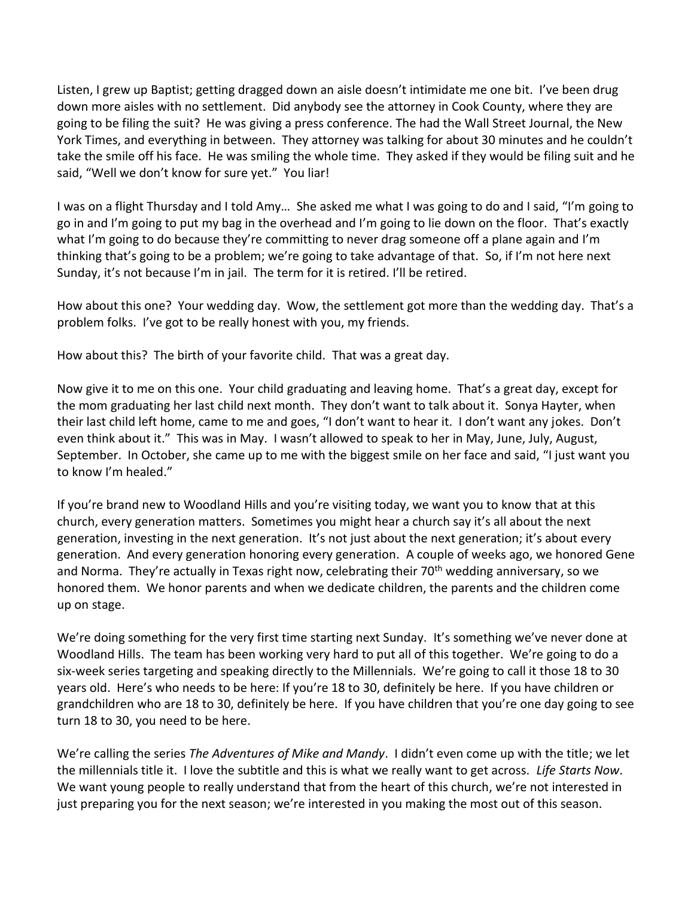Listen, I grew up Baptist; getting dragged down an aisle doesn't intimidate me one bit. I've been drug down more aisles with no settlement. Did anybody see the attorney in Cook County, where they are going to be filing the suit? He was giving a press conference. The had the Wall Street Journal, the New York Times, and everything in between. They attorney was talking for about 30 minutes and he couldn't take the smile off his face. He was smiling the whole time. They asked if they would be filing suit and he said, "Well we don't know for sure yet." You liar!

I was on a flight Thursday and I told Amy… She asked me what I was going to do and I said, "I'm going to go in and I'm going to put my bag in the overhead and I'm going to lie down on the floor. That's exactly what I'm going to do because they're committing to never drag someone off a plane again and I'm thinking that's going to be a problem; we're going to take advantage of that. So, if I'm not here next Sunday, it's not because I'm in jail. The term for it is retired. I'll be retired.

How about this one? Your wedding day. Wow, the settlement got more than the wedding day. That's a problem folks. I've got to be really honest with you, my friends.

How about this? The birth of your favorite child. That was a great day.

Now give it to me on this one. Your child graduating and leaving home. That's a great day, except for the mom graduating her last child next month. They don't want to talk about it. Sonya Hayter, when their last child left home, came to me and goes, "I don't want to hear it. I don't want any jokes. Don't even think about it." This was in May. I wasn't allowed to speak to her in May, June, July, August, September. In October, she came up to me with the biggest smile on her face and said, "I just want you to know I'm healed."

If you're brand new to Woodland Hills and you're visiting today, we want you to know that at this church, every generation matters. Sometimes you might hear a church say it's all about the next generation, investing in the next generation. It's not just about the next generation; it's about every generation. And every generation honoring every generation. A couple of weeks ago, we honored Gene and Norma. They're actually in Texas right now, celebrating their 70<sup>th</sup> wedding anniversary, so we honored them. We honor parents and when we dedicate children, the parents and the children come up on stage.

We're doing something for the very first time starting next Sunday. It's something we've never done at Woodland Hills. The team has been working very hard to put all of this together. We're going to do a six-week series targeting and speaking directly to the Millennials. We're going to call it those 18 to 30 years old. Here's who needs to be here: If you're 18 to 30, definitely be here. If you have children or grandchildren who are 18 to 30, definitely be here. If you have children that you're one day going to see turn 18 to 30, you need to be here.

We're calling the series *The Adventures of Mike and Mandy*. I didn't even come up with the title; we let the millennials title it. I love the subtitle and this is what we really want to get across. *Life Starts Now*. We want young people to really understand that from the heart of this church, we're not interested in just preparing you for the next season; we're interested in you making the most out of this season.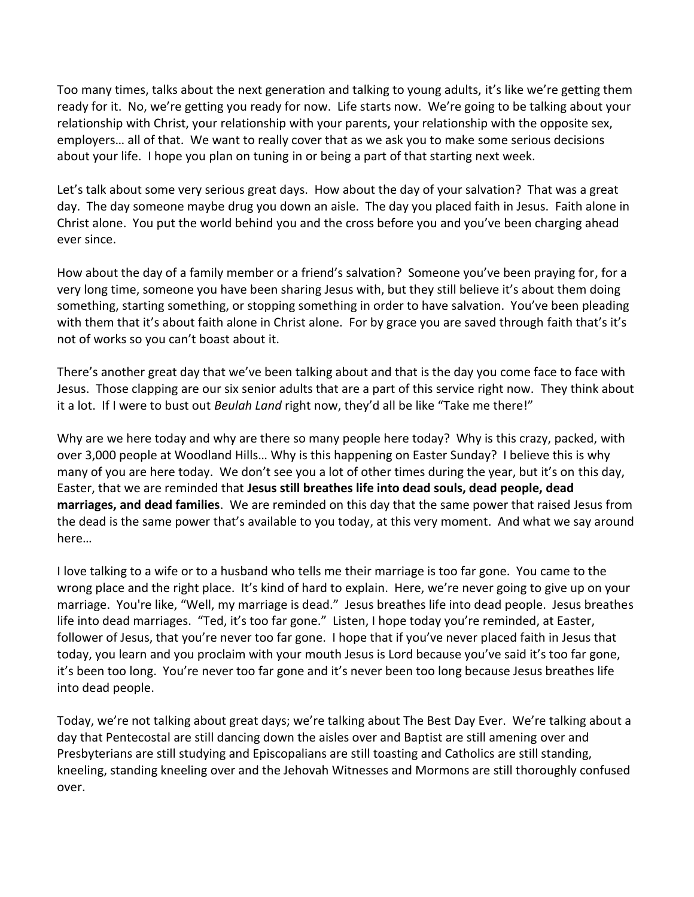Too many times, talks about the next generation and talking to young adults, it's like we're getting them ready for it. No, we're getting you ready for now. Life starts now. We're going to be talking about your relationship with Christ, your relationship with your parents, your relationship with the opposite sex, employers… all of that. We want to really cover that as we ask you to make some serious decisions about your life. I hope you plan on tuning in or being a part of that starting next week.

Let's talk about some very serious great days. How about the day of your salvation? That was a great day. The day someone maybe drug you down an aisle. The day you placed faith in Jesus. Faith alone in Christ alone. You put the world behind you and the cross before you and you've been charging ahead ever since.

How about the day of a family member or a friend's salvation? Someone you've been praying for, for a very long time, someone you have been sharing Jesus with, but they still believe it's about them doing something, starting something, or stopping something in order to have salvation. You've been pleading with them that it's about faith alone in Christ alone. For by grace you are saved through faith that's it's not of works so you can't boast about it.

There's another great day that we've been talking about and that is the day you come face to face with Jesus. Those clapping are our six senior adults that are a part of this service right now. They think about it a lot. If I were to bust out *Beulah Land* right now, they'd all be like "Take me there!"

Why are we here today and why are there so many people here today? Why is this crazy, packed, with over 3,000 people at Woodland Hills… Why is this happening on Easter Sunday? I believe this is why many of you are here today. We don't see you a lot of other times during the year, but it's on this day, Easter, that we are reminded that **Jesus still breathes life into dead souls, dead people, dead marriages, and dead families**. We are reminded on this day that the same power that raised Jesus from the dead is the same power that's available to you today, at this very moment. And what we say around here…

I love talking to a wife or to a husband who tells me their marriage is too far gone. You came to the wrong place and the right place. It's kind of hard to explain. Here, we're never going to give up on your marriage. You're like, "Well, my marriage is dead." Jesus breathes life into dead people. Jesus breathes life into dead marriages. "Ted, it's too far gone." Listen, I hope today you're reminded, at Easter, follower of Jesus, that you're never too far gone. I hope that if you've never placed faith in Jesus that today, you learn and you proclaim with your mouth Jesus is Lord because you've said it's too far gone, it's been too long. You're never too far gone and it's never been too long because Jesus breathes life into dead people.

Today, we're not talking about great days; we're talking about The Best Day Ever. We're talking about a day that Pentecostal are still dancing down the aisles over and Baptist are still amening over and Presbyterians are still studying and Episcopalians are still toasting and Catholics are still standing, kneeling, standing kneeling over and the Jehovah Witnesses and Mormons are still thoroughly confused over.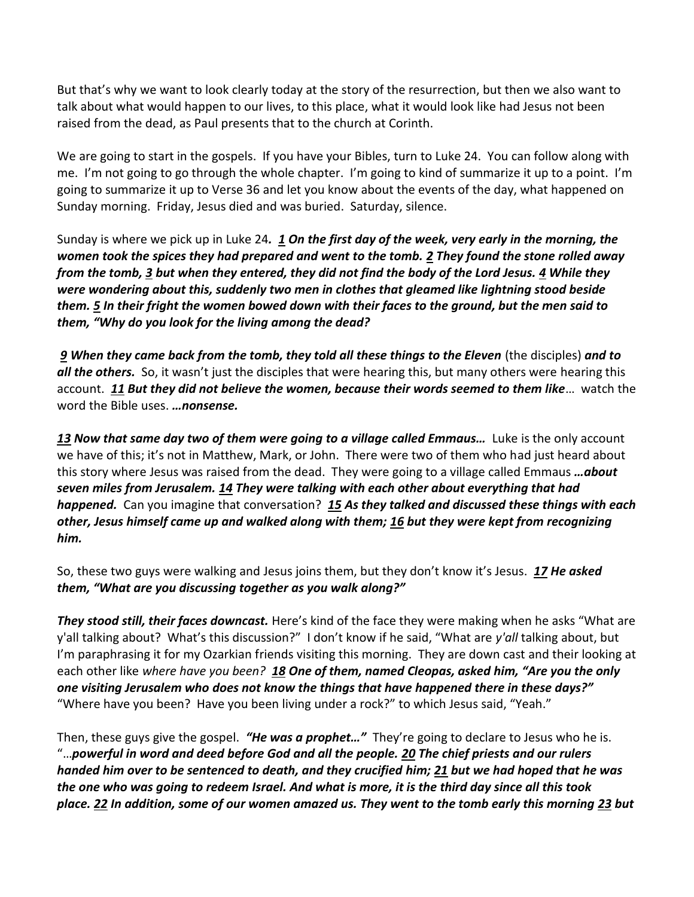But that's why we want to look clearly today at the story of the resurrection, but then we also want to talk about what would happen to our lives, to this place, what it would look like had Jesus not been raised from the dead, as Paul presents that to the church at Corinth.

We are going to start in the gospels. If you have your Bibles, turn to Luke 24. You can follow along with me. I'm not going to go through the whole chapter. I'm going to kind of summarize it up to a point. I'm going to summarize it up to Verse 36 and let you know about the events of the day, what happened on Sunday morning. Friday, Jesus died and was buried. Saturday, silence.

Sunday is where we pick up in Luke 24*. [1](http://www.studylight.org/desk/?q=lu%2024:1&t1=en_niv&sr=1) On the first day of the week, very early in the morning, the women took the spices they had prepared and went to the tomb. [2](http://www.studylight.org/desk/?q=lu%2024:2&t1=en_niv&sr=1) They found the stone rolled away from the tomb, [3](http://www.studylight.org/desk/?q=lu%2024:3&t1=en_niv&sr=1) but when they entered, they did not find the body of the Lord Jesus. [4](http://www.studylight.org/desk/?q=lu%2024:4&t1=en_niv&sr=1) While they were wondering about this, suddenly two men in clothes that gleamed like lightning stood beside them. [5](http://www.studylight.org/desk/?q=lu%2024:5&t1=en_niv&sr=1) In their fright the women bowed down with their faces to the ground, but the men said to them, "Why do you look for the living among the dead?* 

 *[9](http://www.studylight.org/desk/?q=lu%2024:9&t1=en_niv&sr=1) When they came back from the tomb, they told all these things to the Eleven* (the disciples) *and to all the others.* So, it wasn't just the disciples that were hearing this, but many others were hearing this account. *[11](http://www.studylight.org/desk/?q=lu%2024:11&t1=en_niv&sr=1) But they did not believe the women, because their words seemed to them like*… watch the word the Bible uses. *…nonsense.* 

*[13](http://www.studylight.org/desk/?q=lu%2024:13&t1=en_niv&sr=1) Now that same day two of them were going to a village called Emmaus…* Luke is the only account we have of this; it's not in Matthew, Mark, or John. There were two of them who had just heard about this story where Jesus was raised from the dead. They were going to a village called Emmaus *…about seven miles from Jerusalem. [14](http://www.studylight.org/desk/?q=lu%2024:14&t1=en_niv&sr=1) They were talking with each other about everything that had happened.* Can you imagine that conversation? *[15](http://www.studylight.org/desk/?q=lu%2024:15&t1=en_niv&sr=1) As they talked and discussed these things with each other, Jesus himself came up and walked along with them; [16](http://www.studylight.org/desk/?q=lu%2024:16&t1=en_niv&sr=1) but they were kept from recognizing him.* 

So, these two guys were walking and Jesus joins them, but they don't know it's Jesus. *[17](http://www.studylight.org/desk/?q=lu%2024:17&t1=en_niv&sr=1) He asked them, "What are you discussing together as you walk along?"*

*They stood still, their faces downcast.* Here's kind of the face they were making when he asks "What are y'all talking about? What's this discussion?" I don't know if he said, "What are *y'all* talking about, but I'm paraphrasing it for my Ozarkian friends visiting this morning. They are down cast and their looking at each other like *where have you been? [18](http://www.studylight.org/desk/?q=lu%2024:18&t1=en_niv&sr=1) One of them, named Cleopas, asked him, "Are you the only one visiting Jerusalem who does not know the things that have happened there in these days?"* "Where have you been? Have you been living under a rock?" to which Jesus said, "Yeah."

Then, these guys give the gospel. *"He was a prophet…"* They're going to declare to Jesus who he is. "…*powerful in word and deed before God and all the people. [20](http://www.studylight.org/desk/?q=lu%2024:20&t1=en_niv&sr=1) The chief priests and our rulers handed him over to be sentenced to death, and they crucified him; [21](http://www.studylight.org/desk/?q=lu%2024:21&t1=en_niv&sr=1) but we had hoped that he was the one who was going to redeem Israel. And what is more, it is the third day since all this took place. [22](http://www.studylight.org/desk/?q=lu%2024:22&t1=en_niv&sr=1) In addition, some of our women amazed us. They went to the tomb early this morning [23](http://www.studylight.org/desk/?q=lu%2024:23&t1=en_niv&sr=1) but*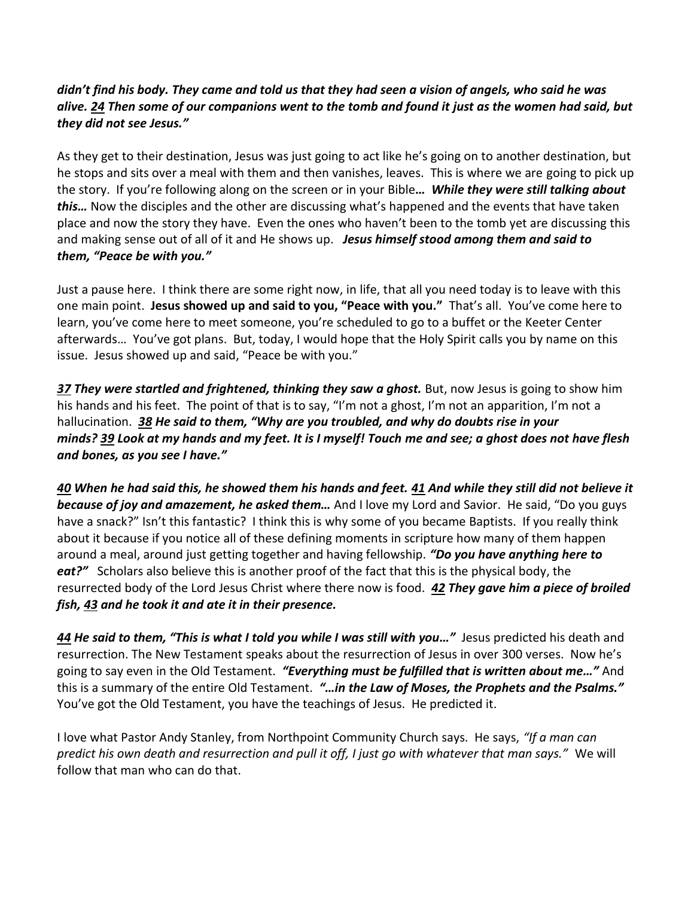## *didn't find his body. They came and told us that they had seen a vision of angels, who said he was alive. [24](http://www.studylight.org/desk/?q=lu%2024:24&t1=en_niv&sr=1) Then some of our companions went to the tomb and found it just as the women had said, but they did not see Jesus."*

As they get to their destination, Jesus was just going to act like he's going on to another destination, but he stops and sits over a meal with them and then vanishes, leaves. This is where we are going to pick up the story. If you're following along on the screen or in your Bible*… While they were still talking about this…* Now the disciples and the other are discussing what's happened and the events that have taken place and now the story they have. Even the ones who haven't been to the tomb yet are discussing this and making sense out of all of it and He shows up. *Jesus himself stood among them and said to them, "Peace be with you."*

Just a pause here. I think there are some right now, in life, that all you need today is to leave with this one main point. **Jesus showed up and said to you, "Peace with you."** That's all. You've come here to learn, you've come here to meet someone, you're scheduled to go to a buffet or the Keeter Center afterwards… You've got plans. But, today, I would hope that the Holy Spirit calls you by name on this issue. Jesus showed up and said, "Peace be with you."

**[37](http://www.studylight.org/desk/?q=lu%2024:37&t1=en_niv&sr=1) They were startled and frightened, thinking they saw a ghost.** But, now Jesus is going to show him his hands and his feet. The point of that is to say, "I'm not a ghost, I'm not an apparition, I'm not a hallucination. *[38](http://www.studylight.org/desk/?q=lu%2024:38&t1=en_niv&sr=1) He said to them, "Why are you troubled, and why do doubts rise in your minds? [39](http://www.studylight.org/desk/?q=lu%2024:39&t1=en_niv&sr=1) Look at my hands and my feet. It is I myself! Touch me and see; a ghost does not have flesh and bones, as you see I have."*

*[40](http://www.studylight.org/desk/?q=lu%2024:40&t1=en_niv&sr=1) When he had said this, he showed them his hands and feet. [41](http://www.studylight.org/desk/?q=lu%2024:41&t1=en_niv&sr=1) And while they still did not believe it because of joy and amazement, he asked them…* And I love my Lord and Savior. He said, "Do you guys have a snack?" Isn't this fantastic? I think this is why some of you became Baptists. If you really think about it because if you notice all of these defining moments in scripture how many of them happen around a meal, around just getting together and having fellowship. *"Do you have anything here to eat?"* Scholars also believe this is another proof of the fact that this is the physical body, the resurrected body of the Lord Jesus Christ where there now is food. *[42](http://www.studylight.org/desk/?q=lu%2024:42&t1=en_niv&sr=1) They gave him a piece of broiled fish, [43](http://www.studylight.org/desk/?q=lu%2024:43&t1=en_niv&sr=1) and he took it and ate it in their presence.* 

*[44](http://www.studylight.org/desk/?q=lu%2024:44&t1=en_niv&sr=1) He said to them, "This is what I told you while I was still with you…"* Jesus predicted his death and resurrection. The New Testament speaks about the resurrection of Jesus in over 300 verses. Now he's going to say even in the Old Testament. *"Everything must be fulfilled that is written about me…"* And this is a summary of the entire Old Testament. *"…in the Law of Moses, the Prophets and the Psalms."* You've got the Old Testament, you have the teachings of Jesus. He predicted it.

I love what Pastor Andy Stanley, from Northpoint Community Church says. He says, *"If a man can predict his own death and resurrection and pull it off, I just go with whatever that man says."* We will follow that man who can do that.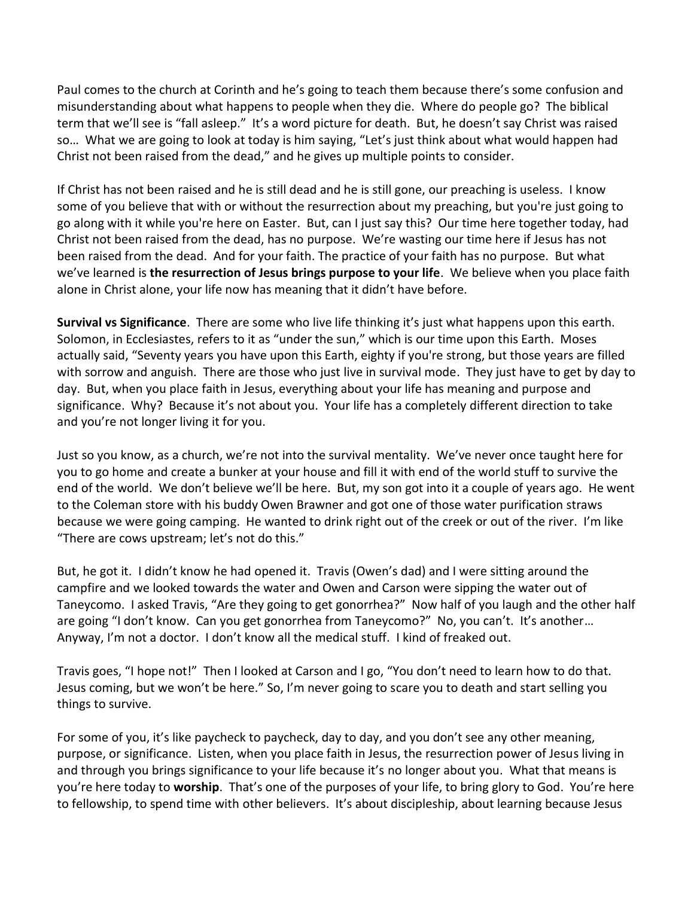Paul comes to the church at Corinth and he's going to teach them because there's some confusion and misunderstanding about what happens to people when they die. Where do people go? The biblical term that we'll see is "fall asleep." It's a word picture for death. But, he doesn't say Christ was raised so… What we are going to look at today is him saying, "Let's just think about what would happen had Christ not been raised from the dead," and he gives up multiple points to consider.

If Christ has not been raised and he is still dead and he is still gone, our preaching is useless. I know some of you believe that with or without the resurrection about my preaching, but you're just going to go along with it while you're here on Easter. But, can I just say this? Our time here together today, had Christ not been raised from the dead, has no purpose. We're wasting our time here if Jesus has not been raised from the dead. And for your faith. The practice of your faith has no purpose. But what we've learned is **the resurrection of Jesus brings purpose to your life**. We believe when you place faith alone in Christ alone, your life now has meaning that it didn't have before.

**Survival vs Significance**. There are some who live life thinking it's just what happens upon this earth. Solomon, in Ecclesiastes, refers to it as "under the sun," which is our time upon this Earth. Moses actually said, "Seventy years you have upon this Earth, eighty if you're strong, but those years are filled with sorrow and anguish. There are those who just live in survival mode. They just have to get by day to day. But, when you place faith in Jesus, everything about your life has meaning and purpose and significance. Why? Because it's not about you. Your life has a completely different direction to take and you're not longer living it for you.

Just so you know, as a church, we're not into the survival mentality. We've never once taught here for you to go home and create a bunker at your house and fill it with end of the world stuff to survive the end of the world. We don't believe we'll be here. But, my son got into it a couple of years ago. He went to the Coleman store with his buddy Owen Brawner and got one of those water purification straws because we were going camping. He wanted to drink right out of the creek or out of the river. I'm like "There are cows upstream; let's not do this."

But, he got it. I didn't know he had opened it. Travis (Owen's dad) and I were sitting around the campfire and we looked towards the water and Owen and Carson were sipping the water out of Taneycomo. I asked Travis, "Are they going to get gonorrhea?" Now half of you laugh and the other half are going "I don't know. Can you get gonorrhea from Taneycomo?" No, you can't. It's another… Anyway, I'm not a doctor. I don't know all the medical stuff. I kind of freaked out.

Travis goes, "I hope not!" Then I looked at Carson and I go, "You don't need to learn how to do that. Jesus coming, but we won't be here." So, I'm never going to scare you to death and start selling you things to survive.

For some of you, it's like paycheck to paycheck, day to day, and you don't see any other meaning, purpose, or significance. Listen, when you place faith in Jesus, the resurrection power of Jesus living in and through you brings significance to your life because it's no longer about you. What that means is you're here today to **worship**. That's one of the purposes of your life, to bring glory to God. You're here to fellowship, to spend time with other believers. It's about discipleship, about learning because Jesus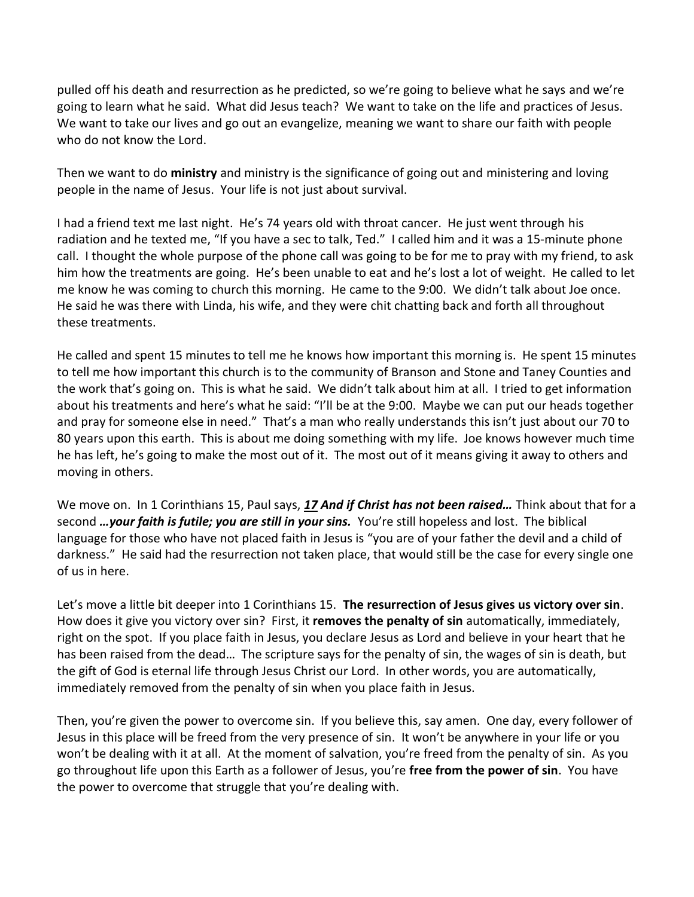pulled off his death and resurrection as he predicted, so we're going to believe what he says and we're going to learn what he said. What did Jesus teach? We want to take on the life and practices of Jesus. We want to take our lives and go out an evangelize, meaning we want to share our faith with people who do not know the Lord.

Then we want to do **ministry** and ministry is the significance of going out and ministering and loving people in the name of Jesus. Your life is not just about survival.

I had a friend text me last night. He's 74 years old with throat cancer. He just went through his radiation and he texted me, "If you have a sec to talk, Ted." I called him and it was a 15-minute phone call. I thought the whole purpose of the phone call was going to be for me to pray with my friend, to ask him how the treatments are going. He's been unable to eat and he's lost a lot of weight. He called to let me know he was coming to church this morning. He came to the 9:00. We didn't talk about Joe once. He said he was there with Linda, his wife, and they were chit chatting back and forth all throughout these treatments.

He called and spent 15 minutes to tell me he knows how important this morning is. He spent 15 minutes to tell me how important this church is to the community of Branson and Stone and Taney Counties and the work that's going on. This is what he said. We didn't talk about him at all. I tried to get information about his treatments and here's what he said: "I'll be at the 9:00. Maybe we can put our heads together and pray for someone else in need." That's a man who really understands this isn't just about our 70 to 80 years upon this earth. This is about me doing something with my life. Joe knows however much time he has left, he's going to make the most out of it. The most out of it means giving it away to others and moving in others.

We move on. In 1 Corinthians 15, Paul says, *[17](http://www.studylight.org/desk/?q=1co%2015:17&t1=en_niv&sr=1) And if Christ has not been raised…* Think about that for a second *…your faith is futile; you are still in your sins.* You're still hopeless and lost. The biblical language for those who have not placed faith in Jesus is "you are of your father the devil and a child of darkness." He said had the resurrection not taken place, that would still be the case for every single one of us in here.

Let's move a little bit deeper into 1 Corinthians 15. **The resurrection of Jesus gives us victory over sin**. How does it give you victory over sin? First, it **removes the penalty of sin** automatically, immediately, right on the spot. If you place faith in Jesus, you declare Jesus as Lord and believe in your heart that he has been raised from the dead… The scripture says for the penalty of sin, the wages of sin is death, but the gift of God is eternal life through Jesus Christ our Lord. In other words, you are automatically, immediately removed from the penalty of sin when you place faith in Jesus.

Then, you're given the power to overcome sin. If you believe this, say amen. One day, every follower of Jesus in this place will be freed from the very presence of sin. It won't be anywhere in your life or you won't be dealing with it at all. At the moment of salvation, you're freed from the penalty of sin. As you go throughout life upon this Earth as a follower of Jesus, you're **free from the power of sin**. You have the power to overcome that struggle that you're dealing with.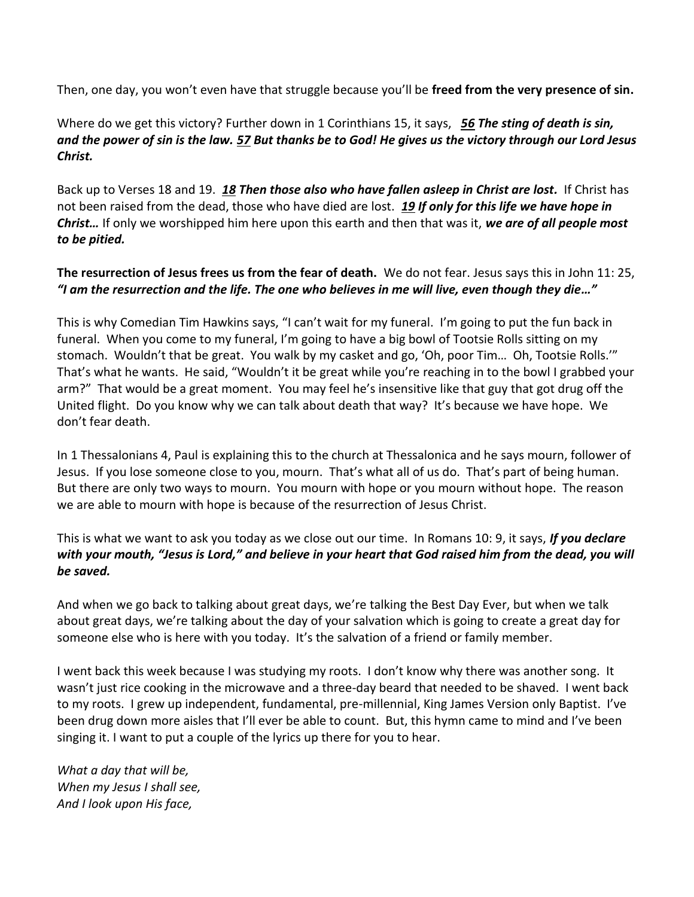Then, one day, you won't even have that struggle because you'll be **freed from the very presence of sin.** 

Where do we get this victory? Further down in 1 Corinthians 15, it says, *[56](http://www.studylight.org/desk/?q=1co%2015:56&t1=en_niv&sr=1) The sting of death is sin, and the power of sin is the law. [57](http://www.studylight.org/desk/?q=1co%2015:57&t1=en_niv&sr=1) But thanks be to God! He gives us the victory through our Lord Jesus Christ.*

Back up to Verses 18 and 19. *[18](http://www.studylight.org/desk/?q=1co%2015:18&t1=en_niv&sr=1) Then those also who have fallen asleep in Christ are lost.* If Christ has not been raised from the dead, those who have died are lost. *[19](http://www.studylight.org/desk/?q=1co%2015:19&t1=en_niv&sr=1) If only for this life we have hope in Christ…* If only we worshipped him here upon this earth and then that was it, *we are of all people most to be pitied.*

## **The resurrection of Jesus frees us from the fear of death.** We do not fear. Jesus says this in John 11: 25, *"I am the resurrection and the life. The one who believes in me will live, even though they die…"*

This is why Comedian Tim Hawkins says, "I can't wait for my funeral. I'm going to put the fun back in funeral. When you come to my funeral, I'm going to have a big bowl of Tootsie Rolls sitting on my stomach. Wouldn't that be great. You walk by my casket and go, 'Oh, poor Tim… Oh, Tootsie Rolls.'" That's what he wants. He said, "Wouldn't it be great while you're reaching in to the bowl I grabbed your arm?" That would be a great moment. You may feel he's insensitive like that guy that got drug off the United flight. Do you know why we can talk about death that way? It's because we have hope. We don't fear death.

In 1 Thessalonians 4, Paul is explaining this to the church at Thessalonica and he says mourn, follower of Jesus. If you lose someone close to you, mourn. That's what all of us do. That's part of being human. But there are only two ways to mourn. You mourn with hope or you mourn without hope. The reason we are able to mourn with hope is because of the resurrection of Jesus Christ.

This is what we want to ask you today as we close out our time. In Romans 10: 9, it says, *If you declare with your mouth, "Jesus is Lord," and believe in your heart that God raised him from the dead, you will be saved.*

And when we go back to talking about great days, we're talking the Best Day Ever, but when we talk about great days, we're talking about the day of your salvation which is going to create a great day for someone else who is here with you today. It's the salvation of a friend or family member.

I went back this week because I was studying my roots. I don't know why there was another song. It wasn't just rice cooking in the microwave and a three-day beard that needed to be shaved. I went back to my roots. I grew up independent, fundamental, pre-millennial, King James Version only Baptist. I've been drug down more aisles that I'll ever be able to count. But, this hymn came to mind and I've been singing it. I want to put a couple of the lyrics up there for you to hear.

*What a day that will be, When my Jesus I shall see, And I look upon His face,*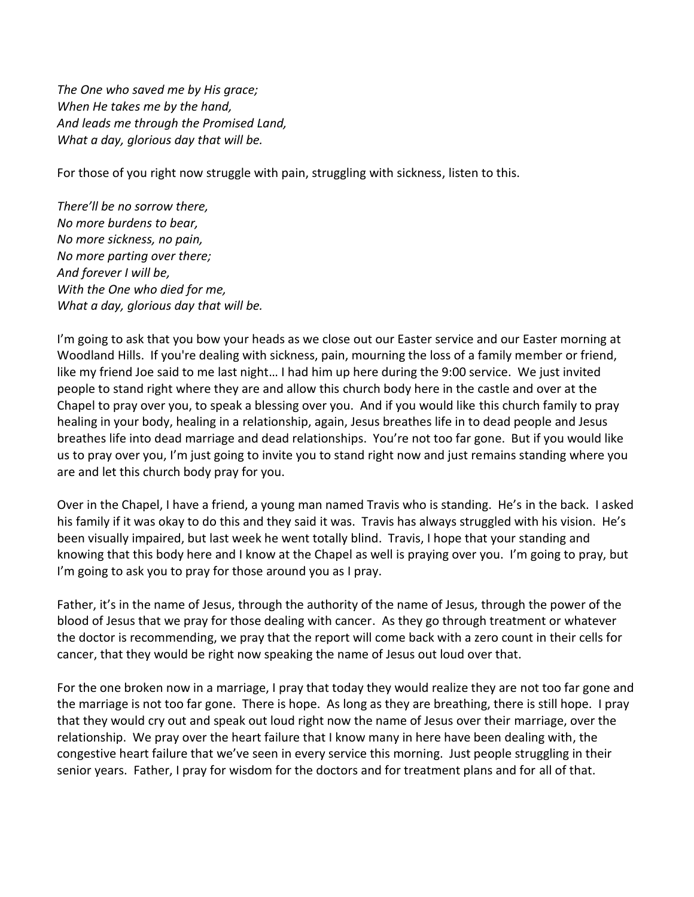*The One who saved me by His grace; When He takes me by the hand, And leads me through the Promised Land, What a day, glorious day that will be.*

For those of you right now struggle with pain, struggling with sickness, listen to this.

*There'll be no sorrow there, No more burdens to bear, No more sickness, no pain, No more parting over there; And forever I will be, With the One who died for me, What a day, glorious day that will be.*

I'm going to ask that you bow your heads as we close out our Easter service and our Easter morning at Woodland Hills. If you're dealing with sickness, pain, mourning the loss of a family member or friend, like my friend Joe said to me last night… I had him up here during the 9:00 service. We just invited people to stand right where they are and allow this church body here in the castle and over at the Chapel to pray over you, to speak a blessing over you. And if you would like this church family to pray healing in your body, healing in a relationship, again, Jesus breathes life in to dead people and Jesus breathes life into dead marriage and dead relationships. You're not too far gone. But if you would like us to pray over you, I'm just going to invite you to stand right now and just remains standing where you are and let this church body pray for you.

Over in the Chapel, I have a friend, a young man named Travis who is standing. He's in the back. I asked his family if it was okay to do this and they said it was. Travis has always struggled with his vision. He's been visually impaired, but last week he went totally blind. Travis, I hope that your standing and knowing that this body here and I know at the Chapel as well is praying over you. I'm going to pray, but I'm going to ask you to pray for those around you as I pray.

Father, it's in the name of Jesus, through the authority of the name of Jesus, through the power of the blood of Jesus that we pray for those dealing with cancer. As they go through treatment or whatever the doctor is recommending, we pray that the report will come back with a zero count in their cells for cancer, that they would be right now speaking the name of Jesus out loud over that.

For the one broken now in a marriage, I pray that today they would realize they are not too far gone and the marriage is not too far gone. There is hope. As long as they are breathing, there is still hope. I pray that they would cry out and speak out loud right now the name of Jesus over their marriage, over the relationship. We pray over the heart failure that I know many in here have been dealing with, the congestive heart failure that we've seen in every service this morning. Just people struggling in their senior years. Father, I pray for wisdom for the doctors and for treatment plans and for all of that.